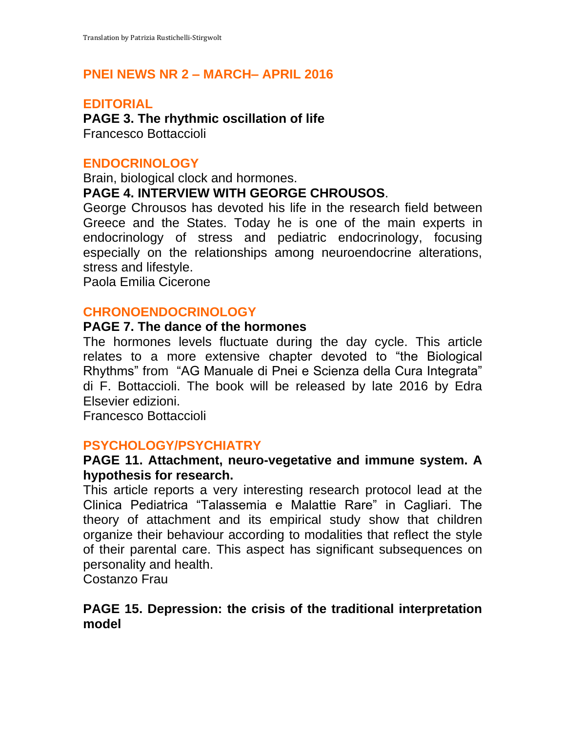## **PNEI NEWS NR 2 – MARCH– APRIL 2016**

#### **EDITORIAL**

**PAGE 3. The rhythmic oscillation of life** Francesco Bottaccioli

# **ENDOCRINOLOGY**

Brain, biological clock and hormones.

## **PAGE 4. INTERVIEW WITH GEORGE CHROUSOS**.

George Chrousos has devoted his life in the research field between Greece and the States. Today he is one of the main experts in endocrinology of stress and pediatric endocrinology, focusing especially on the relationships among neuroendocrine alterations, stress and lifestyle.

Paola Emilia Cicerone

# **CHRONOENDOCRINOLOGY**

#### **PAGE 7. The dance of the hormones**

The hormones levels fluctuate during the day cycle. This article relates to a more extensive chapter devoted to "the Biological Rhythms" from "AG Manuale di Pnei e Scienza della Cura Integrata" di F. Bottaccioli. The book will be released by late 2016 by Edra Elsevier edizioni.

Francesco Bottaccioli

## **PSYCHOLOGY/PSYCHIATRY**

#### **PAGE 11. Attachment, neuro-vegetative and immune system. A hypothesis for research.**

This article reports a very interesting research protocol lead at the Clinica Pediatrica "Talassemia e Malattie Rare" in Cagliari. The theory of attachment and its empirical study show that children organize their behaviour according to modalities that reflect the style of their parental care. This aspect has significant subsequences on personality and health.

Costanzo Frau

## **PAGE 15. Depression: the crisis of the traditional interpretation model**